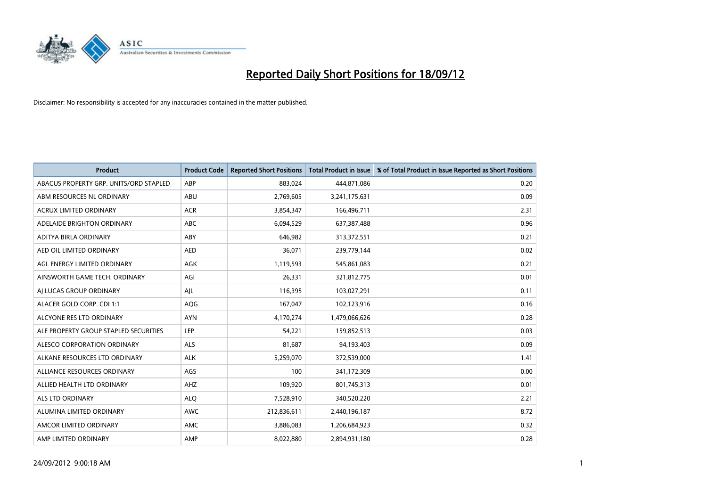

| <b>Product</b>                         | <b>Product Code</b> | <b>Reported Short Positions</b> | <b>Total Product in Issue</b> | % of Total Product in Issue Reported as Short Positions |
|----------------------------------------|---------------------|---------------------------------|-------------------------------|---------------------------------------------------------|
| ABACUS PROPERTY GRP. UNITS/ORD STAPLED | ABP                 | 883,024                         | 444,871,086                   | 0.20                                                    |
| ABM RESOURCES NL ORDINARY              | ABU                 | 2,769,605                       | 3,241,175,631                 | 0.09                                                    |
| <b>ACRUX LIMITED ORDINARY</b>          | <b>ACR</b>          | 3,854,347                       | 166,496,711                   | 2.31                                                    |
| ADELAIDE BRIGHTON ORDINARY             | ABC                 | 6,094,529                       | 637, 387, 488                 | 0.96                                                    |
| ADITYA BIRLA ORDINARY                  | ABY                 | 646,982                         | 313,372,551                   | 0.21                                                    |
| AED OIL LIMITED ORDINARY               | <b>AED</b>          | 36,071                          | 239,779,144                   | 0.02                                                    |
| AGL ENERGY LIMITED ORDINARY            | <b>AGK</b>          | 1,119,593                       | 545,861,083                   | 0.21                                                    |
| AINSWORTH GAME TECH. ORDINARY          | AGI                 | 26,331                          | 321,812,775                   | 0.01                                                    |
| AI LUCAS GROUP ORDINARY                | AJL                 | 116,395                         | 103,027,291                   | 0.11                                                    |
| ALACER GOLD CORP. CDI 1:1              | AQG                 | 167,047                         | 102,123,916                   | 0.16                                                    |
| ALCYONE RES LTD ORDINARY               | <b>AYN</b>          | 4,170,274                       | 1,479,066,626                 | 0.28                                                    |
| ALE PROPERTY GROUP STAPLED SECURITIES  | LEP                 | 54,221                          | 159,852,513                   | 0.03                                                    |
| ALESCO CORPORATION ORDINARY            | <b>ALS</b>          | 81,687                          | 94,193,403                    | 0.09                                                    |
| ALKANE RESOURCES LTD ORDINARY          | <b>ALK</b>          | 5,259,070                       | 372,539,000                   | 1.41                                                    |
| ALLIANCE RESOURCES ORDINARY            | AGS                 | 100                             | 341,172,309                   | 0.00                                                    |
| ALLIED HEALTH LTD ORDINARY             | AHZ                 | 109,920                         | 801,745,313                   | 0.01                                                    |
| <b>ALS LTD ORDINARY</b>                | <b>ALO</b>          | 7,528,910                       | 340,520,220                   | 2.21                                                    |
| ALUMINA LIMITED ORDINARY               | <b>AWC</b>          | 212,836,611                     | 2,440,196,187                 | 8.72                                                    |
| AMCOR LIMITED ORDINARY                 | <b>AMC</b>          | 3,886,083                       | 1,206,684,923                 | 0.32                                                    |
| AMP LIMITED ORDINARY                   | AMP                 | 8.022.880                       | 2,894,931,180                 | 0.28                                                    |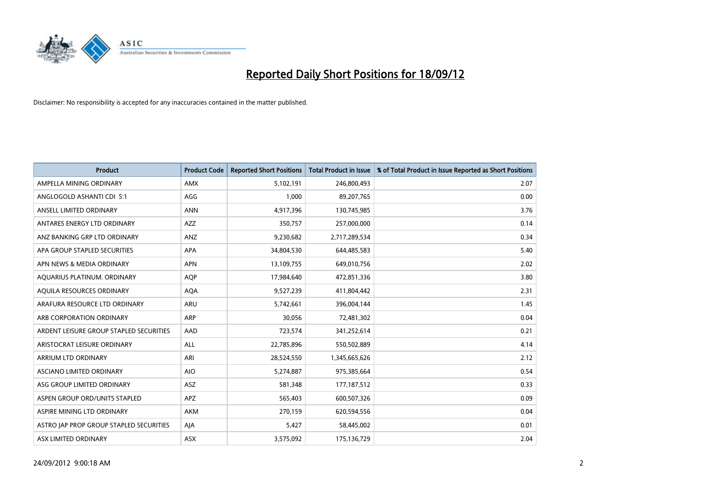

| <b>Product</b>                          | <b>Product Code</b> | <b>Reported Short Positions</b> | <b>Total Product in Issue</b> | % of Total Product in Issue Reported as Short Positions |
|-----------------------------------------|---------------------|---------------------------------|-------------------------------|---------------------------------------------------------|
| AMPELLA MINING ORDINARY                 | <b>AMX</b>          | 5,102,191                       | 246,800,493                   | 2.07                                                    |
| ANGLOGOLD ASHANTI CDI 5:1               | AGG                 | 1,000                           | 89,207,765                    | 0.00                                                    |
| ANSELL LIMITED ORDINARY                 | <b>ANN</b>          | 4,917,396                       | 130,745,985                   | 3.76                                                    |
| ANTARES ENERGY LTD ORDINARY             | <b>AZZ</b>          | 350,757                         | 257,000,000                   | 0.14                                                    |
| ANZ BANKING GRP LTD ORDINARY            | ANZ                 | 9,230,682                       | 2,717,289,534                 | 0.34                                                    |
| APA GROUP STAPLED SECURITIES            | <b>APA</b>          | 34,804,530                      | 644,485,583                   | 5.40                                                    |
| APN NEWS & MEDIA ORDINARY               | <b>APN</b>          | 13,109,755                      | 649,010,756                   | 2.02                                                    |
| AQUARIUS PLATINUM. ORDINARY             | <b>AOP</b>          | 17,984,640                      | 472,851,336                   | 3.80                                                    |
| AQUILA RESOURCES ORDINARY               | <b>AQA</b>          | 9,527,239                       | 411,804,442                   | 2.31                                                    |
| ARAFURA RESOURCE LTD ORDINARY           | <b>ARU</b>          | 5,742,661                       | 396,004,144                   | 1.45                                                    |
| ARB CORPORATION ORDINARY                | <b>ARP</b>          | 30,056                          | 72,481,302                    | 0.04                                                    |
| ARDENT LEISURE GROUP STAPLED SECURITIES | AAD                 | 723,574                         | 341,252,614                   | 0.21                                                    |
| ARISTOCRAT LEISURE ORDINARY             | <b>ALL</b>          | 22,785,896                      | 550,502,889                   | 4.14                                                    |
| ARRIUM LTD ORDINARY                     | ARI                 | 28,524,550                      | 1,345,665,626                 | 2.12                                                    |
| ASCIANO LIMITED ORDINARY                | <b>AIO</b>          | 5,274,887                       | 975,385,664                   | 0.54                                                    |
| ASG GROUP LIMITED ORDINARY              | <b>ASZ</b>          | 581,348                         | 177, 187, 512                 | 0.33                                                    |
| ASPEN GROUP ORD/UNITS STAPLED           | <b>APZ</b>          | 565,403                         | 600,507,326                   | 0.09                                                    |
| ASPIRE MINING LTD ORDINARY              | <b>AKM</b>          | 270,159                         | 620,594,556                   | 0.04                                                    |
| ASTRO JAP PROP GROUP STAPLED SECURITIES | AJA                 | 5,427                           | 58,445,002                    | 0.01                                                    |
| ASX LIMITED ORDINARY                    | ASX                 | 3,575,092                       | 175,136,729                   | 2.04                                                    |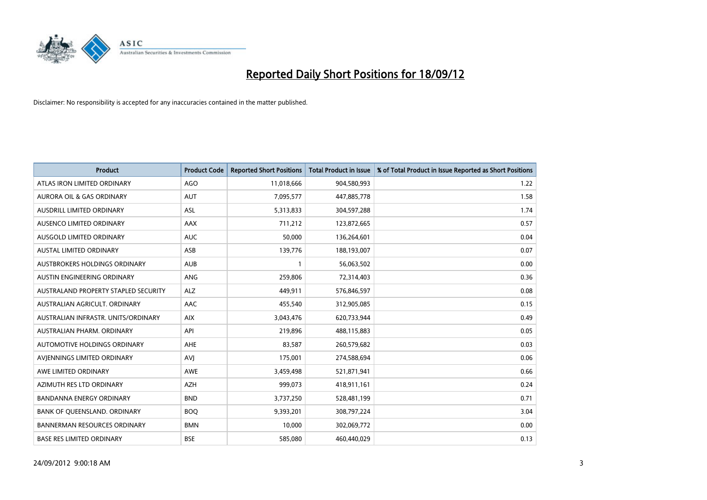

| <b>Product</b>                       | <b>Product Code</b> | <b>Reported Short Positions</b> | <b>Total Product in Issue</b> | % of Total Product in Issue Reported as Short Positions |
|--------------------------------------|---------------------|---------------------------------|-------------------------------|---------------------------------------------------------|
| ATLAS IRON LIMITED ORDINARY          | <b>AGO</b>          | 11,018,666                      | 904,580,993                   | 1.22                                                    |
| AURORA OIL & GAS ORDINARY            | <b>AUT</b>          | 7,095,577                       | 447,885,778                   | 1.58                                                    |
| <b>AUSDRILL LIMITED ORDINARY</b>     | <b>ASL</b>          | 5,313,833                       | 304,597,288                   | 1.74                                                    |
| AUSENCO LIMITED ORDINARY             | <b>AAX</b>          | 711,212                         | 123,872,665                   | 0.57                                                    |
| <b>AUSGOLD LIMITED ORDINARY</b>      | <b>AUC</b>          | 50,000                          | 136,264,601                   | 0.04                                                    |
| <b>AUSTAL LIMITED ORDINARY</b>       | ASB                 | 139,776                         | 188,193,007                   | 0.07                                                    |
| AUSTBROKERS HOLDINGS ORDINARY        | <b>AUB</b>          |                                 | 56,063,502                    | 0.00                                                    |
| AUSTIN ENGINEERING ORDINARY          | ANG                 | 259,806                         | 72,314,403                    | 0.36                                                    |
| AUSTRALAND PROPERTY STAPLED SECURITY | <b>ALZ</b>          | 449,911                         | 576,846,597                   | 0.08                                                    |
| AUSTRALIAN AGRICULT, ORDINARY        | AAC                 | 455,540                         | 312,905,085                   | 0.15                                                    |
| AUSTRALIAN INFRASTR. UNITS/ORDINARY  | <b>AIX</b>          | 3,043,476                       | 620,733,944                   | 0.49                                                    |
| <b>AUSTRALIAN PHARM, ORDINARY</b>    | API                 | 219,896                         | 488,115,883                   | 0.05                                                    |
| AUTOMOTIVE HOLDINGS ORDINARY         | <b>AHE</b>          | 83,587                          | 260,579,682                   | 0.03                                                    |
| AVIENNINGS LIMITED ORDINARY          | AVI                 | 175,001                         | 274,588,694                   | 0.06                                                    |
| AWE LIMITED ORDINARY                 | AWE                 | 3,459,498                       | 521,871,941                   | 0.66                                                    |
| AZIMUTH RES LTD ORDINARY             | <b>AZH</b>          | 999,073                         | 418,911,161                   | 0.24                                                    |
| BANDANNA ENERGY ORDINARY             | <b>BND</b>          | 3,737,250                       | 528,481,199                   | 0.71                                                    |
| BANK OF QUEENSLAND. ORDINARY         | <b>BOQ</b>          | 9,393,201                       | 308,797,224                   | 3.04                                                    |
| <b>BANNERMAN RESOURCES ORDINARY</b>  | <b>BMN</b>          | 10,000                          | 302,069,772                   | 0.00                                                    |
| <b>BASE RES LIMITED ORDINARY</b>     | <b>BSE</b>          | 585,080                         | 460,440,029                   | 0.13                                                    |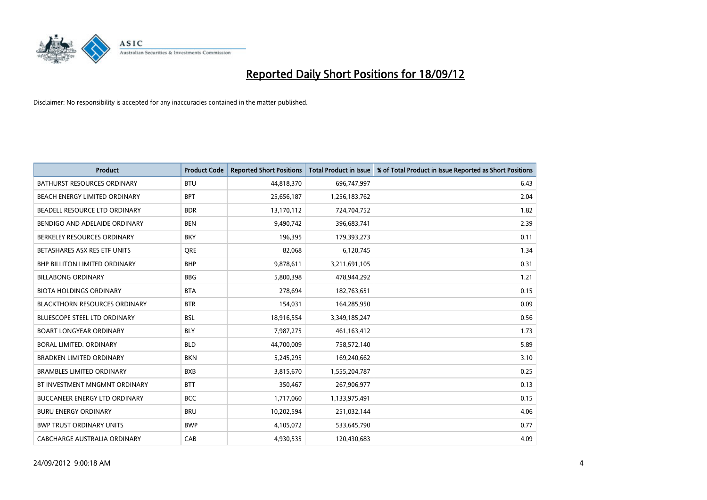

| <b>Product</b>                       | <b>Product Code</b> | <b>Reported Short Positions</b> | <b>Total Product in Issue</b> | % of Total Product in Issue Reported as Short Positions |
|--------------------------------------|---------------------|---------------------------------|-------------------------------|---------------------------------------------------------|
| <b>BATHURST RESOURCES ORDINARY</b>   | <b>BTU</b>          | 44,818,370                      | 696,747,997                   | 6.43                                                    |
| BEACH ENERGY LIMITED ORDINARY        | <b>BPT</b>          | 25,656,187                      | 1,256,183,762                 | 2.04                                                    |
| BEADELL RESOURCE LTD ORDINARY        | <b>BDR</b>          | 13,170,112                      | 724,704,752                   | 1.82                                                    |
| BENDIGO AND ADELAIDE ORDINARY        | <b>BEN</b>          | 9,490,742                       | 396,683,741                   | 2.39                                                    |
| BERKELEY RESOURCES ORDINARY          | <b>BKY</b>          | 196,395                         | 179,393,273                   | 0.11                                                    |
| BETASHARES ASX RES ETF UNITS         | <b>ORE</b>          | 82,068                          | 6,120,745                     | 1.34                                                    |
| <b>BHP BILLITON LIMITED ORDINARY</b> | <b>BHP</b>          | 9,878,611                       | 3,211,691,105                 | 0.31                                                    |
| <b>BILLABONG ORDINARY</b>            | <b>BBG</b>          | 5,800,398                       | 478,944,292                   | 1.21                                                    |
| <b>BIOTA HOLDINGS ORDINARY</b>       | <b>BTA</b>          | 278,694                         | 182,763,651                   | 0.15                                                    |
| <b>BLACKTHORN RESOURCES ORDINARY</b> | <b>BTR</b>          | 154,031                         | 164,285,950                   | 0.09                                                    |
| <b>BLUESCOPE STEEL LTD ORDINARY</b>  | <b>BSL</b>          | 18,916,554                      | 3,349,185,247                 | 0.56                                                    |
| <b>BOART LONGYEAR ORDINARY</b>       | <b>BLY</b>          | 7,987,275                       | 461,163,412                   | 1.73                                                    |
| BORAL LIMITED, ORDINARY              | <b>BLD</b>          | 44,700,009                      | 758,572,140                   | 5.89                                                    |
| <b>BRADKEN LIMITED ORDINARY</b>      | <b>BKN</b>          | 5,245,295                       | 169,240,662                   | 3.10                                                    |
| <b>BRAMBLES LIMITED ORDINARY</b>     | <b>BXB</b>          | 3,815,670                       | 1,555,204,787                 | 0.25                                                    |
| BT INVESTMENT MNGMNT ORDINARY        | <b>BTT</b>          | 350,467                         | 267,906,977                   | 0.13                                                    |
| <b>BUCCANEER ENERGY LTD ORDINARY</b> | <b>BCC</b>          | 1,717,060                       | 1,133,975,491                 | 0.15                                                    |
| <b>BURU ENERGY ORDINARY</b>          | <b>BRU</b>          | 10,202,594                      | 251,032,144                   | 4.06                                                    |
| <b>BWP TRUST ORDINARY UNITS</b>      | <b>BWP</b>          | 4,105,072                       | 533,645,790                   | 0.77                                                    |
| CABCHARGE AUSTRALIA ORDINARY         | CAB                 | 4,930,535                       | 120.430.683                   | 4.09                                                    |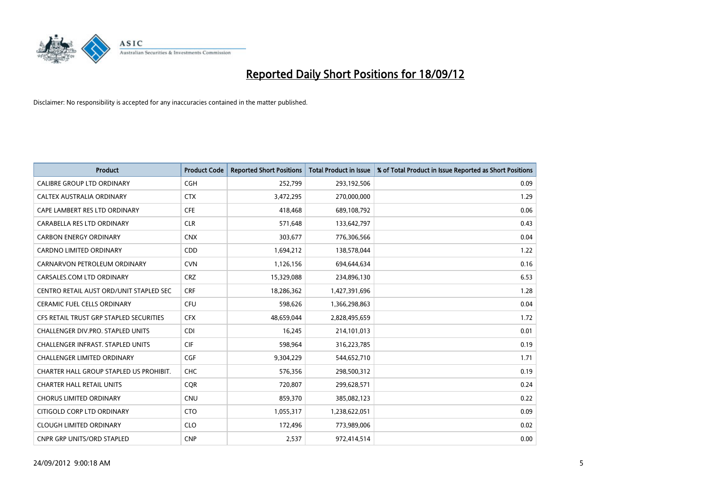

| <b>Product</b>                           | <b>Product Code</b> | <b>Reported Short Positions</b> | <b>Total Product in Issue</b> | % of Total Product in Issue Reported as Short Positions |
|------------------------------------------|---------------------|---------------------------------|-------------------------------|---------------------------------------------------------|
| <b>CALIBRE GROUP LTD ORDINARY</b>        | <b>CGH</b>          | 252,799                         | 293,192,506                   | 0.09                                                    |
| CALTEX AUSTRALIA ORDINARY                | <b>CTX</b>          | 3,472,295                       | 270,000,000                   | 1.29                                                    |
| CAPE LAMBERT RES LTD ORDINARY            | <b>CFE</b>          | 418,468                         | 689,108,792                   | 0.06                                                    |
| CARABELLA RES LTD ORDINARY               | <b>CLR</b>          | 571,648                         | 133,642,797                   | 0.43                                                    |
| <b>CARBON ENERGY ORDINARY</b>            | <b>CNX</b>          | 303,677                         | 776,306,566                   | 0.04                                                    |
| <b>CARDNO LIMITED ORDINARY</b>           | CDD                 | 1,694,212                       | 138,578,044                   | 1.22                                                    |
| CARNARVON PETROLEUM ORDINARY             | <b>CVN</b>          | 1,126,156                       | 694,644,634                   | 0.16                                                    |
| CARSALES.COM LTD ORDINARY                | <b>CRZ</b>          | 15,329,088                      | 234,896,130                   | 6.53                                                    |
| CENTRO RETAIL AUST ORD/UNIT STAPLED SEC  | <b>CRF</b>          | 18,286,362                      | 1,427,391,696                 | 1.28                                                    |
| <b>CERAMIC FUEL CELLS ORDINARY</b>       | <b>CFU</b>          | 598,626                         | 1,366,298,863                 | 0.04                                                    |
| CFS RETAIL TRUST GRP STAPLED SECURITIES  | <b>CFX</b>          | 48,659,044                      | 2,828,495,659                 | 1.72                                                    |
| CHALLENGER DIV.PRO. STAPLED UNITS        | <b>CDI</b>          | 16,245                          | 214,101,013                   | 0.01                                                    |
| <b>CHALLENGER INFRAST, STAPLED UNITS</b> | <b>CIF</b>          | 598,964                         | 316,223,785                   | 0.19                                                    |
| <b>CHALLENGER LIMITED ORDINARY</b>       | <b>CGF</b>          | 9,304,229                       | 544,652,710                   | 1.71                                                    |
| CHARTER HALL GROUP STAPLED US PROHIBIT.  | <b>CHC</b>          | 576,356                         | 298,500,312                   | 0.19                                                    |
| <b>CHARTER HALL RETAIL UNITS</b>         | <b>COR</b>          | 720,807                         | 299,628,571                   | 0.24                                                    |
| <b>CHORUS LIMITED ORDINARY</b>           | <b>CNU</b>          | 859,370                         | 385,082,123                   | 0.22                                                    |
| CITIGOLD CORP LTD ORDINARY               | <b>CTO</b>          | 1,055,317                       | 1,238,622,051                 | 0.09                                                    |
| <b>CLOUGH LIMITED ORDINARY</b>           | <b>CLO</b>          | 172,496                         | 773,989,006                   | 0.02                                                    |
| <b>CNPR GRP UNITS/ORD STAPLED</b>        | <b>CNP</b>          | 2,537                           | 972,414,514                   | 0.00                                                    |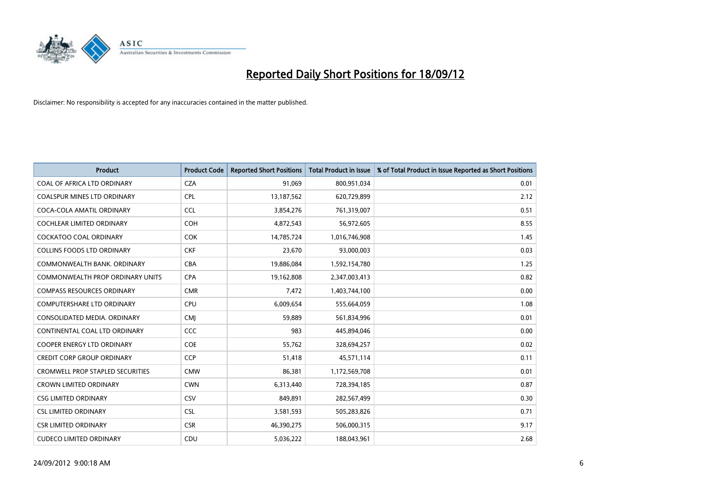

| <b>Product</b>                          | <b>Product Code</b> | <b>Reported Short Positions</b> | Total Product in Issue | % of Total Product in Issue Reported as Short Positions |
|-----------------------------------------|---------------------|---------------------------------|------------------------|---------------------------------------------------------|
| COAL OF AFRICA LTD ORDINARY             | <b>CZA</b>          | 91,069                          | 800,951,034            | 0.01                                                    |
| COALSPUR MINES LTD ORDINARY             | <b>CPL</b>          | 13,187,562                      | 620,729,899            | 2.12                                                    |
| COCA-COLA AMATIL ORDINARY               | <b>CCL</b>          | 3,854,276                       | 761,319,007            | 0.51                                                    |
| COCHLEAR LIMITED ORDINARY               | <b>COH</b>          | 4,872,543                       | 56,972,605             | 8.55                                                    |
| <b>COCKATOO COAL ORDINARY</b>           | <b>COK</b>          | 14,785,724                      | 1,016,746,908          | 1.45                                                    |
| <b>COLLINS FOODS LTD ORDINARY</b>       | <b>CKF</b>          | 23,670                          | 93,000,003             | 0.03                                                    |
| COMMONWEALTH BANK, ORDINARY             | <b>CBA</b>          | 19,886,084                      | 1,592,154,780          | 1.25                                                    |
| <b>COMMONWEALTH PROP ORDINARY UNITS</b> | <b>CPA</b>          | 19,162,808                      | 2,347,003,413          | 0.82                                                    |
| <b>COMPASS RESOURCES ORDINARY</b>       | <b>CMR</b>          | 7,472                           | 1,403,744,100          | 0.00                                                    |
| <b>COMPUTERSHARE LTD ORDINARY</b>       | <b>CPU</b>          | 6,009,654                       | 555,664,059            | 1.08                                                    |
| CONSOLIDATED MEDIA, ORDINARY            | <b>CMJ</b>          | 59,889                          | 561,834,996            | 0.01                                                    |
| CONTINENTAL COAL LTD ORDINARY           | <b>CCC</b>          | 983                             | 445,894,046            | 0.00                                                    |
| <b>COOPER ENERGY LTD ORDINARY</b>       | <b>COE</b>          | 55,762                          | 328,694,257            | 0.02                                                    |
| <b>CREDIT CORP GROUP ORDINARY</b>       | <b>CCP</b>          | 51,418                          | 45,571,114             | 0.11                                                    |
| <b>CROMWELL PROP STAPLED SECURITIES</b> | <b>CMW</b>          | 86,381                          | 1,172,569,708          | 0.01                                                    |
| <b>CROWN LIMITED ORDINARY</b>           | <b>CWN</b>          | 6,313,440                       | 728,394,185            | 0.87                                                    |
| <b>CSG LIMITED ORDINARY</b>             | CSV                 | 849,891                         | 282,567,499            | 0.30                                                    |
| <b>CSL LIMITED ORDINARY</b>             | <b>CSL</b>          | 3,581,593                       | 505,283,826            | 0.71                                                    |
| <b>CSR LIMITED ORDINARY</b>             | <b>CSR</b>          | 46,390,275                      | 506,000,315            | 9.17                                                    |
| <b>CUDECO LIMITED ORDINARY</b>          | CDU                 | 5,036,222                       | 188,043,961            | 2.68                                                    |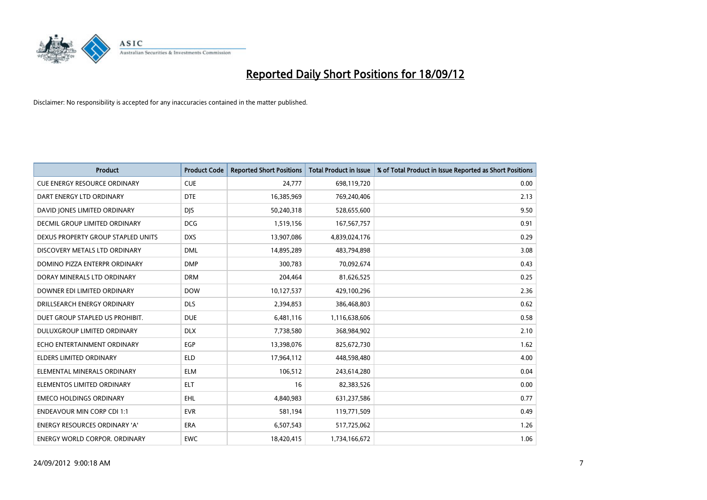

| <b>Product</b>                       | <b>Product Code</b> | <b>Reported Short Positions</b> | <b>Total Product in Issue</b> | % of Total Product in Issue Reported as Short Positions |
|--------------------------------------|---------------------|---------------------------------|-------------------------------|---------------------------------------------------------|
| <b>CUE ENERGY RESOURCE ORDINARY</b>  | <b>CUE</b>          | 24,777                          | 698,119,720                   | 0.00                                                    |
| DART ENERGY LTD ORDINARY             | <b>DTE</b>          | 16,385,969                      | 769,240,406                   | 2.13                                                    |
| DAVID JONES LIMITED ORDINARY         | <b>DIS</b>          | 50,240,318                      | 528,655,600                   | 9.50                                                    |
| DECMIL GROUP LIMITED ORDINARY        | <b>DCG</b>          | 1,519,156                       | 167,567,757                   | 0.91                                                    |
| DEXUS PROPERTY GROUP STAPLED UNITS   | <b>DXS</b>          | 13,907,086                      | 4,839,024,176                 | 0.29                                                    |
| DISCOVERY METALS LTD ORDINARY        | <b>DML</b>          | 14,895,289                      | 483,794,898                   | 3.08                                                    |
| DOMINO PIZZA ENTERPR ORDINARY        | <b>DMP</b>          | 300,783                         | 70,092,674                    | 0.43                                                    |
| DORAY MINERALS LTD ORDINARY          | <b>DRM</b>          | 204,464                         | 81,626,525                    | 0.25                                                    |
| DOWNER EDI LIMITED ORDINARY          | <b>DOW</b>          | 10,127,537                      | 429,100,296                   | 2.36                                                    |
| DRILLSEARCH ENERGY ORDINARY          | <b>DLS</b>          | 2,394,853                       | 386,468,803                   | 0.62                                                    |
| DUET GROUP STAPLED US PROHIBIT.      | <b>DUE</b>          | 6,481,116                       | 1,116,638,606                 | 0.58                                                    |
| <b>DULUXGROUP LIMITED ORDINARY</b>   | <b>DLX</b>          | 7,738,580                       | 368,984,902                   | 2.10                                                    |
| ECHO ENTERTAINMENT ORDINARY          | EGP                 | 13,398,076                      | 825,672,730                   | 1.62                                                    |
| <b>ELDERS LIMITED ORDINARY</b>       | <b>ELD</b>          | 17,964,112                      | 448,598,480                   | 4.00                                                    |
| ELEMENTAL MINERALS ORDINARY          | <b>ELM</b>          | 106,512                         | 243,614,280                   | 0.04                                                    |
| ELEMENTOS LIMITED ORDINARY           | <b>ELT</b>          | 16                              | 82,383,526                    | 0.00                                                    |
| <b>EMECO HOLDINGS ORDINARY</b>       | <b>EHL</b>          | 4,840,983                       | 631,237,586                   | 0.77                                                    |
| <b>ENDEAVOUR MIN CORP CDI 1:1</b>    | <b>EVR</b>          | 581,194                         | 119,771,509                   | 0.49                                                    |
| <b>ENERGY RESOURCES ORDINARY 'A'</b> | <b>ERA</b>          | 6,507,543                       | 517,725,062                   | 1.26                                                    |
| ENERGY WORLD CORPOR. ORDINARY        | <b>EWC</b>          | 18,420,415                      | 1,734,166,672                 | 1.06                                                    |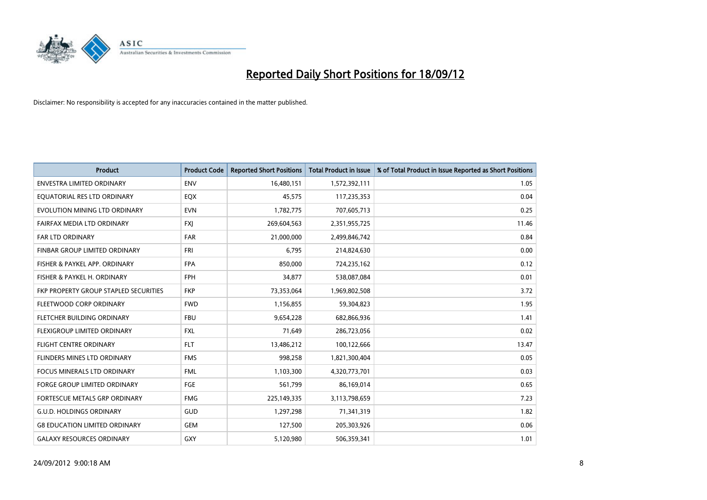

| <b>Product</b>                        | <b>Product Code</b> | <b>Reported Short Positions</b> | <b>Total Product in Issue</b> | % of Total Product in Issue Reported as Short Positions |
|---------------------------------------|---------------------|---------------------------------|-------------------------------|---------------------------------------------------------|
| <b>ENVESTRA LIMITED ORDINARY</b>      | <b>ENV</b>          | 16,480,151                      | 1,572,392,111                 | 1.05                                                    |
| EQUATORIAL RES LTD ORDINARY           | EQX                 | 45,575                          | 117,235,353                   | 0.04                                                    |
| EVOLUTION MINING LTD ORDINARY         | <b>EVN</b>          | 1,782,775                       | 707,605,713                   | 0.25                                                    |
| FAIRFAX MEDIA LTD ORDINARY            | <b>FXI</b>          | 269,604,563                     | 2,351,955,725                 | 11.46                                                   |
| <b>FAR LTD ORDINARY</b>               | <b>FAR</b>          | 21,000,000                      | 2,499,846,742                 | 0.84                                                    |
| <b>FINBAR GROUP LIMITED ORDINARY</b>  | <b>FRI</b>          | 6,795                           | 214,824,630                   | 0.00                                                    |
| FISHER & PAYKEL APP. ORDINARY         | <b>FPA</b>          | 850.000                         | 724,235,162                   | 0.12                                                    |
| FISHER & PAYKEL H. ORDINARY           | <b>FPH</b>          | 34,877                          | 538,087,084                   | 0.01                                                    |
| FKP PROPERTY GROUP STAPLED SECURITIES | <b>FKP</b>          | 73,353,064                      | 1,969,802,508                 | 3.72                                                    |
| FLEETWOOD CORP ORDINARY               | <b>FWD</b>          | 1,156,855                       | 59,304,823                    | 1.95                                                    |
| FLETCHER BUILDING ORDINARY            | <b>FBU</b>          | 9,654,228                       | 682,866,936                   | 1.41                                                    |
| <b>FLEXIGROUP LIMITED ORDINARY</b>    | <b>FXL</b>          | 71,649                          | 286,723,056                   | 0.02                                                    |
| <b>FLIGHT CENTRE ORDINARY</b>         | <b>FLT</b>          | 13,486,212                      | 100,122,666                   | 13.47                                                   |
| FLINDERS MINES LTD ORDINARY           | <b>FMS</b>          | 998.258                         | 1,821,300,404                 | 0.05                                                    |
| FOCUS MINERALS LTD ORDINARY           | <b>FML</b>          | 1,103,300                       | 4,320,773,701                 | 0.03                                                    |
| <b>FORGE GROUP LIMITED ORDINARY</b>   | FGE                 | 561,799                         | 86,169,014                    | 0.65                                                    |
| <b>FORTESCUE METALS GRP ORDINARY</b>  | <b>FMG</b>          | 225,149,335                     | 3,113,798,659                 | 7.23                                                    |
| <b>G.U.D. HOLDINGS ORDINARY</b>       | GUD                 | 1,297,298                       | 71,341,319                    | 1.82                                                    |
| <b>G8 EDUCATION LIMITED ORDINARY</b>  | GEM                 | 127,500                         | 205,303,926                   | 0.06                                                    |
| <b>GALAXY RESOURCES ORDINARY</b>      | <b>GXY</b>          | 5,120,980                       | 506,359,341                   | 1.01                                                    |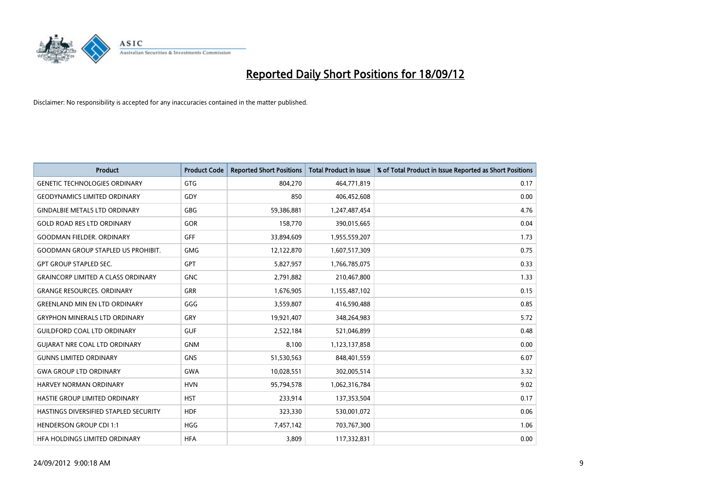

| <b>Product</b>                            | <b>Product Code</b> | <b>Reported Short Positions</b> | <b>Total Product in Issue</b> | % of Total Product in Issue Reported as Short Positions |
|-------------------------------------------|---------------------|---------------------------------|-------------------------------|---------------------------------------------------------|
| <b>GENETIC TECHNOLOGIES ORDINARY</b>      | <b>GTG</b>          | 804,270                         | 464,771,819                   | 0.17                                                    |
| <b>GEODYNAMICS LIMITED ORDINARY</b>       | GDY                 | 850                             | 406,452,608                   | 0.00                                                    |
| <b>GINDALBIE METALS LTD ORDINARY</b>      | <b>GBG</b>          | 59,386,881                      | 1,247,487,454                 | 4.76                                                    |
| <b>GOLD ROAD RES LTD ORDINARY</b>         | <b>GOR</b>          | 158,770                         | 390,015,665                   | 0.04                                                    |
| <b>GOODMAN FIELDER, ORDINARY</b>          | <b>GFF</b>          | 33,894,609                      | 1,955,559,207                 | 1.73                                                    |
| <b>GOODMAN GROUP STAPLED US PROHIBIT.</b> | <b>GMG</b>          | 12,122,870                      | 1,607,517,309                 | 0.75                                                    |
| <b>GPT GROUP STAPLED SEC.</b>             | <b>GPT</b>          | 5,827,957                       | 1,766,785,075                 | 0.33                                                    |
| <b>GRAINCORP LIMITED A CLASS ORDINARY</b> | <b>GNC</b>          | 2,791,882                       | 210,467,800                   | 1.33                                                    |
| <b>GRANGE RESOURCES. ORDINARY</b>         | GRR                 | 1,676,905                       | 1,155,487,102                 | 0.15                                                    |
| <b>GREENLAND MIN EN LTD ORDINARY</b>      | GGG                 | 3,559,807                       | 416,590,488                   | 0.85                                                    |
| <b>GRYPHON MINERALS LTD ORDINARY</b>      | GRY                 | 19,921,407                      | 348,264,983                   | 5.72                                                    |
| <b>GUILDFORD COAL LTD ORDINARY</b>        | <b>GUF</b>          | 2,522,184                       | 521,046,899                   | 0.48                                                    |
| <b>GUIARAT NRE COAL LTD ORDINARY</b>      | <b>GNM</b>          | 8,100                           | 1,123,137,858                 | 0.00                                                    |
| <b>GUNNS LIMITED ORDINARY</b>             | <b>GNS</b>          | 51,530,563                      | 848,401,559                   | 6.07                                                    |
| <b>GWA GROUP LTD ORDINARY</b>             | <b>GWA</b>          | 10,028,551                      | 302,005,514                   | 3.32                                                    |
| HARVEY NORMAN ORDINARY                    | <b>HVN</b>          | 95,794,578                      | 1,062,316,784                 | 9.02                                                    |
| HASTIE GROUP LIMITED ORDINARY             | <b>HST</b>          | 233,914                         | 137,353,504                   | 0.17                                                    |
| HASTINGS DIVERSIFIED STAPLED SECURITY     | <b>HDF</b>          | 323,330                         | 530,001,072                   | 0.06                                                    |
| <b>HENDERSON GROUP CDI 1:1</b>            | <b>HGG</b>          | 7,457,142                       | 703,767,300                   | 1.06                                                    |
| HEA HOLDINGS LIMITED ORDINARY             | <b>HFA</b>          | 3,809                           | 117,332,831                   | 0.00                                                    |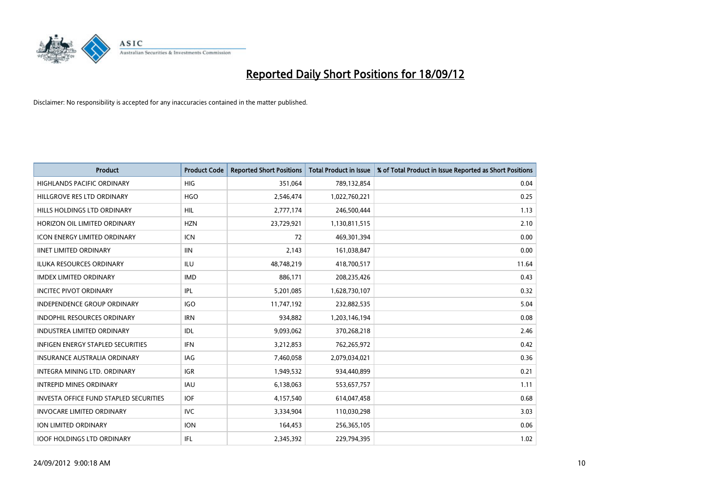

| <b>Product</b>                                | <b>Product Code</b> | <b>Reported Short Positions</b> | <b>Total Product in Issue</b> | % of Total Product in Issue Reported as Short Positions |
|-----------------------------------------------|---------------------|---------------------------------|-------------------------------|---------------------------------------------------------|
| <b>HIGHLANDS PACIFIC ORDINARY</b>             | <b>HIG</b>          | 351,064                         | 789,132,854                   | 0.04                                                    |
| HILLGROVE RES LTD ORDINARY                    | <b>HGO</b>          | 2,546,474                       | 1,022,760,221                 | 0.25                                                    |
| HILLS HOLDINGS LTD ORDINARY                   | <b>HIL</b>          | 2,777,174                       | 246,500,444                   | 1.13                                                    |
| HORIZON OIL LIMITED ORDINARY                  | <b>HZN</b>          | 23,729,921                      | 1,130,811,515                 | 2.10                                                    |
| <b>ICON ENERGY LIMITED ORDINARY</b>           | <b>ICN</b>          | 72                              | 469,301,394                   | 0.00                                                    |
| <b>IINET LIMITED ORDINARY</b>                 | <b>IIN</b>          | 2,143                           | 161,038,847                   | 0.00                                                    |
| <b>ILUKA RESOURCES ORDINARY</b>               | ILU                 | 48,748,219                      | 418,700,517                   | 11.64                                                   |
| <b>IMDEX LIMITED ORDINARY</b>                 | <b>IMD</b>          | 886,171                         | 208,235,426                   | 0.43                                                    |
| <b>INCITEC PIVOT ORDINARY</b>                 | IPL                 | 5,201,085                       | 1,628,730,107                 | 0.32                                                    |
| <b>INDEPENDENCE GROUP ORDINARY</b>            | <b>IGO</b>          | 11,747,192                      | 232,882,535                   | 5.04                                                    |
| INDOPHIL RESOURCES ORDINARY                   | <b>IRN</b>          | 934,882                         | 1,203,146,194                 | 0.08                                                    |
| <b>INDUSTREA LIMITED ORDINARY</b>             | IDL                 | 9,093,062                       | 370,268,218                   | 2.46                                                    |
| <b>INFIGEN ENERGY STAPLED SECURITIES</b>      | <b>IFN</b>          | 3,212,853                       | 762,265,972                   | 0.42                                                    |
| <b>INSURANCE AUSTRALIA ORDINARY</b>           | IAG                 | 7,460,058                       | 2,079,034,021                 | 0.36                                                    |
| <b>INTEGRA MINING LTD, ORDINARY</b>           | <b>IGR</b>          | 1,949,532                       | 934,440,899                   | 0.21                                                    |
| <b>INTREPID MINES ORDINARY</b>                | <b>IAU</b>          | 6,138,063                       | 553,657,757                   | 1.11                                                    |
| <b>INVESTA OFFICE FUND STAPLED SECURITIES</b> | <b>IOF</b>          | 4,157,540                       | 614,047,458                   | 0.68                                                    |
| <b>INVOCARE LIMITED ORDINARY</b>              | IVC                 | 3,334,904                       | 110,030,298                   | 3.03                                                    |
| <b>ION LIMITED ORDINARY</b>                   | <b>ION</b>          | 164,453                         | 256,365,105                   | 0.06                                                    |
| <b>IOOF HOLDINGS LTD ORDINARY</b>             | <b>IFL</b>          | 2,345,392                       | 229.794.395                   | 1.02                                                    |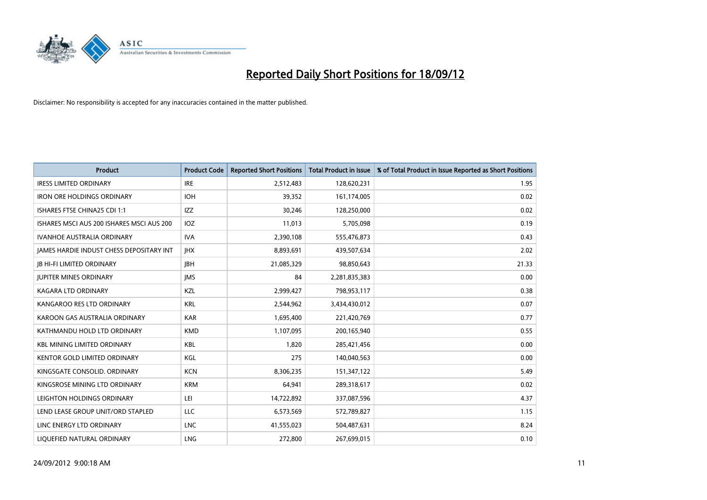

| <b>Product</b>                                  | <b>Product Code</b> | <b>Reported Short Positions</b> | <b>Total Product in Issue</b> | % of Total Product in Issue Reported as Short Positions |
|-------------------------------------------------|---------------------|---------------------------------|-------------------------------|---------------------------------------------------------|
| <b>IRESS LIMITED ORDINARY</b>                   | <b>IRE</b>          | 2,512,483                       | 128,620,231                   | 1.95                                                    |
| <b>IRON ORE HOLDINGS ORDINARY</b>               | <b>IOH</b>          | 39,352                          | 161,174,005                   | 0.02                                                    |
| ISHARES FTSE CHINA25 CDI 1:1                    | <b>IZZ</b>          | 30,246                          | 128,250,000                   | 0.02                                                    |
| ISHARES MSCI AUS 200 ISHARES MSCI AUS 200       | IOZ                 | 11,013                          | 5,705,098                     | 0.19                                                    |
| <b>IVANHOE AUSTRALIA ORDINARY</b>               | <b>IVA</b>          | 2,390,108                       | 555,476,873                   | 0.43                                                    |
| <b>JAMES HARDIE INDUST CHESS DEPOSITARY INT</b> | <b>IHX</b>          | 8,893,691                       | 439,507,634                   | 2.02                                                    |
| <b>IB HI-FI LIMITED ORDINARY</b>                | <b>IBH</b>          | 21,085,329                      | 98,850,643                    | 21.33                                                   |
| <b>JUPITER MINES ORDINARY</b>                   | <b>IMS</b>          | 84                              | 2,281,835,383                 | 0.00                                                    |
| <b>KAGARA LTD ORDINARY</b>                      | KZL                 | 2,999,427                       | 798,953,117                   | 0.38                                                    |
| KANGAROO RES LTD ORDINARY                       | <b>KRL</b>          | 2,544,962                       | 3,434,430,012                 | 0.07                                                    |
| KAROON GAS AUSTRALIA ORDINARY                   | <b>KAR</b>          | 1,695,400                       | 221,420,769                   | 0.77                                                    |
| KATHMANDU HOLD LTD ORDINARY                     | <b>KMD</b>          | 1,107,095                       | 200,165,940                   | 0.55                                                    |
| <b>KBL MINING LIMITED ORDINARY</b>              | KBL                 | 1,820                           | 285,421,456                   | 0.00                                                    |
| <b>KENTOR GOLD LIMITED ORDINARY</b>             | KGL                 | 275                             | 140,040,563                   | 0.00                                                    |
| KINGSGATE CONSOLID. ORDINARY                    | <b>KCN</b>          | 8,306,235                       | 151,347,122                   | 5.49                                                    |
| KINGSROSE MINING LTD ORDINARY                   | <b>KRM</b>          | 64,941                          | 289,318,617                   | 0.02                                                    |
| LEIGHTON HOLDINGS ORDINARY                      | LEI                 | 14,722,892                      | 337,087,596                   | 4.37                                                    |
| LEND LEASE GROUP UNIT/ORD STAPLED               | <b>LLC</b>          | 6,573,569                       | 572,789,827                   | 1.15                                                    |
| LINC ENERGY LTD ORDINARY                        | <b>LNC</b>          | 41,555,023                      | 504,487,631                   | 8.24                                                    |
| LIQUEFIED NATURAL ORDINARY                      | <b>LNG</b>          | 272,800                         | 267,699,015                   | 0.10                                                    |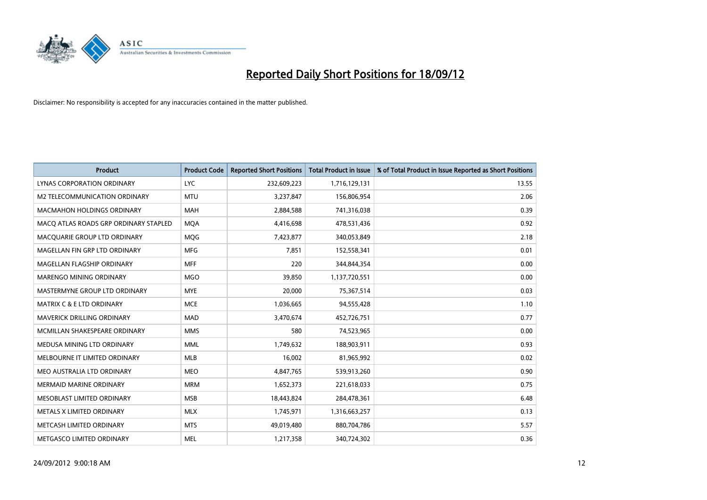

| <b>Product</b>                        | <b>Product Code</b> | <b>Reported Short Positions</b> | <b>Total Product in Issue</b> | % of Total Product in Issue Reported as Short Positions |
|---------------------------------------|---------------------|---------------------------------|-------------------------------|---------------------------------------------------------|
| LYNAS CORPORATION ORDINARY            | <b>LYC</b>          | 232,609,223                     | 1,716,129,131                 | 13.55                                                   |
| M2 TELECOMMUNICATION ORDINARY         | <b>MTU</b>          | 3,237,847                       | 156,806,954                   | 2.06                                                    |
| MACMAHON HOLDINGS ORDINARY            | <b>MAH</b>          | 2,884,588                       | 741,316,038                   | 0.39                                                    |
| MACQ ATLAS ROADS GRP ORDINARY STAPLED | <b>MOA</b>          | 4,416,698                       | 478,531,436                   | 0.92                                                    |
| MACQUARIE GROUP LTD ORDINARY          | <b>MOG</b>          | 7,423,877                       | 340,053,849                   | 2.18                                                    |
| MAGELLAN FIN GRP LTD ORDINARY         | <b>MFG</b>          | 7,851                           | 152,558,341                   | 0.01                                                    |
| MAGELLAN FLAGSHIP ORDINARY            | <b>MFF</b>          | 220                             | 344,844,354                   | 0.00                                                    |
| MARENGO MINING ORDINARY               | <b>MGO</b>          | 39,850                          | 1,137,720,551                 | 0.00                                                    |
| MASTERMYNE GROUP LTD ORDINARY         | <b>MYE</b>          | 20,000                          | 75,367,514                    | 0.03                                                    |
| <b>MATRIX C &amp; E LTD ORDINARY</b>  | <b>MCE</b>          | 1,036,665                       | 94,555,428                    | 1.10                                                    |
| MAVERICK DRILLING ORDINARY            | <b>MAD</b>          | 3,470,674                       | 452,726,751                   | 0.77                                                    |
| MCMILLAN SHAKESPEARE ORDINARY         | <b>MMS</b>          | 580                             | 74,523,965                    | 0.00                                                    |
| MEDUSA MINING LTD ORDINARY            | <b>MML</b>          | 1,749,632                       | 188,903,911                   | 0.93                                                    |
| MELBOURNE IT LIMITED ORDINARY         | <b>MLB</b>          | 16,002                          | 81,965,992                    | 0.02                                                    |
| MEO AUSTRALIA LTD ORDINARY            | <b>MEO</b>          | 4,847,765                       | 539,913,260                   | 0.90                                                    |
| <b>MERMAID MARINE ORDINARY</b>        | <b>MRM</b>          | 1,652,373                       | 221,618,033                   | 0.75                                                    |
| MESOBLAST LIMITED ORDINARY            | <b>MSB</b>          | 18,443,824                      | 284,478,361                   | 6.48                                                    |
| METALS X LIMITED ORDINARY             | <b>MLX</b>          | 1,745,971                       | 1,316,663,257                 | 0.13                                                    |
| METCASH LIMITED ORDINARY              | <b>MTS</b>          | 49,019,480                      | 880,704,786                   | 5.57                                                    |
| METGASCO LIMITED ORDINARY             | <b>MEL</b>          | 1,217,358                       | 340,724,302                   | 0.36                                                    |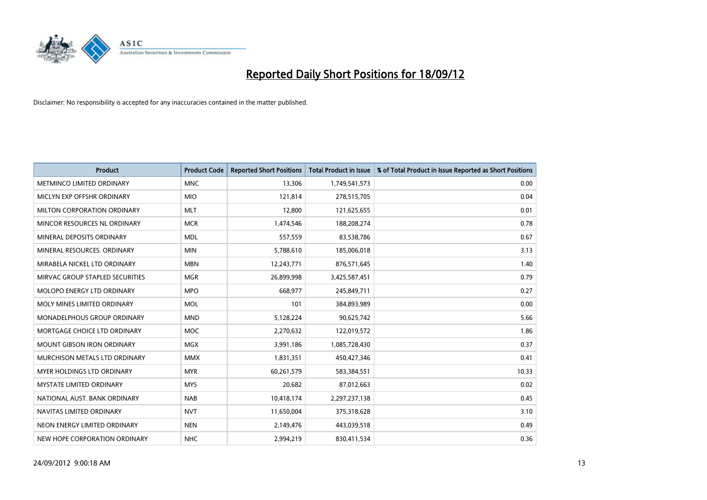

| <b>Product</b>                       | <b>Product Code</b> | <b>Reported Short Positions</b> | <b>Total Product in Issue</b> | % of Total Product in Issue Reported as Short Positions |
|--------------------------------------|---------------------|---------------------------------|-------------------------------|---------------------------------------------------------|
| METMINCO LIMITED ORDINARY            | <b>MNC</b>          | 13,306                          | 1,749,541,573                 | 0.00                                                    |
| MICLYN EXP OFFSHR ORDINARY           | <b>MIO</b>          | 121,814                         | 278,515,705                   | 0.04                                                    |
| MILTON CORPORATION ORDINARY          | <b>MLT</b>          | 12,800                          | 121,625,655                   | 0.01                                                    |
| MINCOR RESOURCES NL ORDINARY         | <b>MCR</b>          | 1,474,546                       | 188,208,274                   | 0.78                                                    |
| MINERAL DEPOSITS ORDINARY            | <b>MDL</b>          | 557,559                         | 83,538,786                    | 0.67                                                    |
| MINERAL RESOURCES, ORDINARY          | <b>MIN</b>          | 5,788,610                       | 185,006,018                   | 3.13                                                    |
| MIRABELA NICKEL LTD ORDINARY         | <b>MBN</b>          | 12,243,771                      | 876,571,645                   | 1.40                                                    |
| MIRVAC GROUP STAPLED SECURITIES      | <b>MGR</b>          | 26,899,998                      | 3,425,587,451                 | 0.79                                                    |
| MOLOPO ENERGY LTD ORDINARY           | <b>MPO</b>          | 668,977                         | 245,849,711                   | 0.27                                                    |
| MOLY MINES LIMITED ORDINARY          | <b>MOL</b>          | 101                             | 384,893,989                   | 0.00                                                    |
| <b>MONADELPHOUS GROUP ORDINARY</b>   | <b>MND</b>          | 5,128,224                       | 90,625,742                    | 5.66                                                    |
| MORTGAGE CHOICE LTD ORDINARY         | MOC                 | 2,270,632                       | 122,019,572                   | 1.86                                                    |
| <b>MOUNT GIBSON IRON ORDINARY</b>    | <b>MGX</b>          | 3,991,186                       | 1,085,728,430                 | 0.37                                                    |
| <b>MURCHISON METALS LTD ORDINARY</b> | <b>MMX</b>          | 1,831,351                       | 450,427,346                   | 0.41                                                    |
| <b>MYER HOLDINGS LTD ORDINARY</b>    | <b>MYR</b>          | 60,261,579                      | 583,384,551                   | 10.33                                                   |
| <b>MYSTATE LIMITED ORDINARY</b>      | <b>MYS</b>          | 20,682                          | 87,012,663                    | 0.02                                                    |
| NATIONAL AUST. BANK ORDINARY         | <b>NAB</b>          | 10,418,174                      | 2,297,237,138                 | 0.45                                                    |
| NAVITAS LIMITED ORDINARY             | <b>NVT</b>          | 11,650,004                      | 375,318,628                   | 3.10                                                    |
| NEON ENERGY LIMITED ORDINARY         | <b>NEN</b>          | 2,149,476                       | 443,039,518                   | 0.49                                                    |
| NEW HOPE CORPORATION ORDINARY        | <b>NHC</b>          | 2,994,219                       | 830,411,534                   | 0.36                                                    |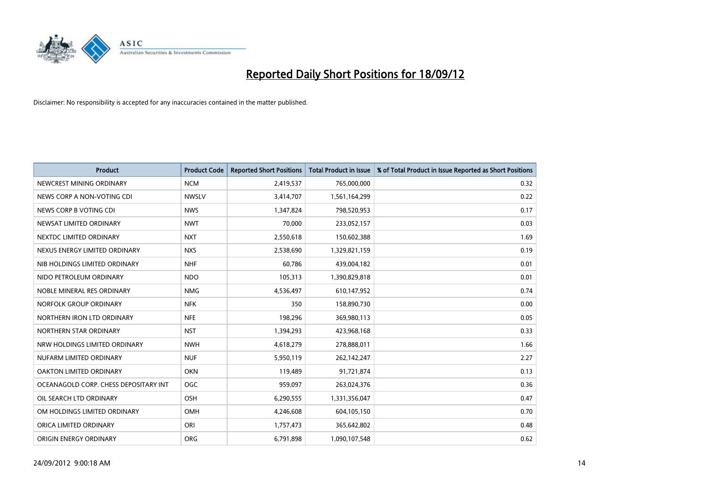

| <b>Product</b>                        | <b>Product Code</b> | <b>Reported Short Positions</b> | <b>Total Product in Issue</b> | % of Total Product in Issue Reported as Short Positions |
|---------------------------------------|---------------------|---------------------------------|-------------------------------|---------------------------------------------------------|
| NEWCREST MINING ORDINARY              | <b>NCM</b>          | 2,419,537                       | 765,000,000                   | 0.32                                                    |
| NEWS CORP A NON-VOTING CDI            | <b>NWSLV</b>        | 3,414,707                       | 1,561,164,299                 | 0.22                                                    |
| NEWS CORP B VOTING CDI                | <b>NWS</b>          | 1,347,824                       | 798,520,953                   | 0.17                                                    |
| NEWSAT LIMITED ORDINARY               | <b>NWT</b>          | 70,000                          | 233,052,157                   | 0.03                                                    |
| NEXTDC LIMITED ORDINARY               | <b>NXT</b>          | 2,550,618                       | 150,602,388                   | 1.69                                                    |
| NEXUS ENERGY LIMITED ORDINARY         | <b>NXS</b>          | 2,538,690                       | 1,329,821,159                 | 0.19                                                    |
| NIB HOLDINGS LIMITED ORDINARY         | <b>NHF</b>          | 60.786                          | 439,004,182                   | 0.01                                                    |
| NIDO PETROLEUM ORDINARY               | <b>NDO</b>          | 105,313                         | 1,390,829,818                 | 0.01                                                    |
| NOBLE MINERAL RES ORDINARY            | <b>NMG</b>          | 4,536,497                       | 610,147,952                   | 0.74                                                    |
| NORFOLK GROUP ORDINARY                | <b>NFK</b>          | 350                             | 158,890,730                   | 0.00                                                    |
| NORTHERN IRON LTD ORDINARY            | <b>NFE</b>          | 198,296                         | 369,980,113                   | 0.05                                                    |
| NORTHERN STAR ORDINARY                | <b>NST</b>          | 1,394,293                       | 423,968,168                   | 0.33                                                    |
| NRW HOLDINGS LIMITED ORDINARY         | <b>NWH</b>          | 4,618,279                       | 278,888,011                   | 1.66                                                    |
| NUFARM LIMITED ORDINARY               | <b>NUF</b>          | 5,950,119                       | 262,142,247                   | 2.27                                                    |
| <b>OAKTON LIMITED ORDINARY</b>        | <b>OKN</b>          | 119,489                         | 91,721,874                    | 0.13                                                    |
| OCEANAGOLD CORP. CHESS DEPOSITARY INT | <b>OGC</b>          | 959,097                         | 263,024,376                   | 0.36                                                    |
| OIL SEARCH LTD ORDINARY               | <b>OSH</b>          | 6,290,555                       | 1,331,356,047                 | 0.47                                                    |
| OM HOLDINGS LIMITED ORDINARY          | OMH                 | 4,246,608                       | 604,105,150                   | 0.70                                                    |
| ORICA LIMITED ORDINARY                | ORI                 | 1,757,473                       | 365,642,802                   | 0.48                                                    |
| ORIGIN ENERGY ORDINARY                | <b>ORG</b>          | 6,791,898                       | 1.090.107.548                 | 0.62                                                    |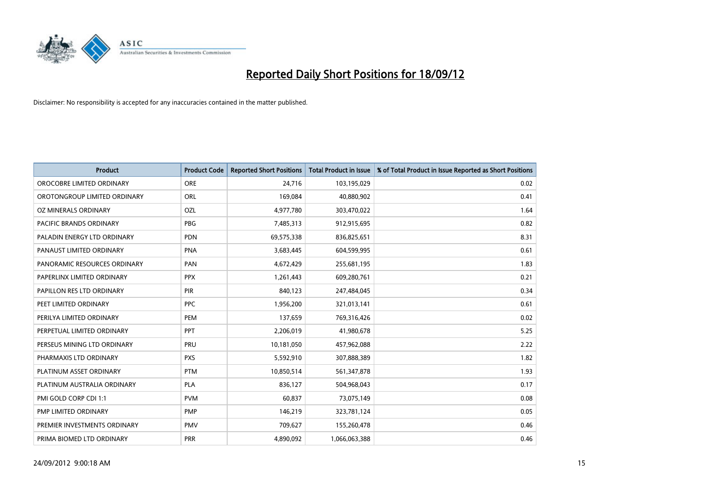

| <b>Product</b>               | <b>Product Code</b> | <b>Reported Short Positions</b> | <b>Total Product in Issue</b> | % of Total Product in Issue Reported as Short Positions |
|------------------------------|---------------------|---------------------------------|-------------------------------|---------------------------------------------------------|
| OROCOBRE LIMITED ORDINARY    | <b>ORE</b>          | 24,716                          | 103,195,029                   | 0.02                                                    |
| OROTONGROUP LIMITED ORDINARY | ORL                 | 169,084                         | 40,880,902                    | 0.41                                                    |
| OZ MINERALS ORDINARY         | OZL                 | 4,977,780                       | 303,470,022                   | 1.64                                                    |
| PACIFIC BRANDS ORDINARY      | <b>PBG</b>          | 7,485,313                       | 912,915,695                   | 0.82                                                    |
| PALADIN ENERGY LTD ORDINARY  | <b>PDN</b>          | 69,575,338                      | 836,825,651                   | 8.31                                                    |
| PANAUST LIMITED ORDINARY     | <b>PNA</b>          | 3,683,445                       | 604,599,995                   | 0.61                                                    |
| PANORAMIC RESOURCES ORDINARY | PAN                 | 4,672,429                       | 255,681,195                   | 1.83                                                    |
| PAPERLINX LIMITED ORDINARY   | <b>PPX</b>          | 1,261,443                       | 609,280,761                   | 0.21                                                    |
| PAPILLON RES LTD ORDINARY    | <b>PIR</b>          | 840,123                         | 247,484,045                   | 0.34                                                    |
| PEET LIMITED ORDINARY        | <b>PPC</b>          | 1,956,200                       | 321,013,141                   | 0.61                                                    |
| PERILYA LIMITED ORDINARY     | PEM                 | 137,659                         | 769,316,426                   | 0.02                                                    |
| PERPETUAL LIMITED ORDINARY   | PPT                 | 2,206,019                       | 41,980,678                    | 5.25                                                    |
| PERSEUS MINING LTD ORDINARY  | PRU                 | 10,181,050                      | 457,962,088                   | 2.22                                                    |
| PHARMAXIS LTD ORDINARY       | <b>PXS</b>          | 5,592,910                       | 307,888,389                   | 1.82                                                    |
| PLATINUM ASSET ORDINARY      | <b>PTM</b>          | 10,850,514                      | 561,347,878                   | 1.93                                                    |
| PLATINUM AUSTRALIA ORDINARY  | <b>PLA</b>          | 836,127                         | 504,968,043                   | 0.17                                                    |
| PMI GOLD CORP CDI 1:1        | <b>PVM</b>          | 60,837                          | 73,075,149                    | 0.08                                                    |
| PMP LIMITED ORDINARY         | <b>PMP</b>          | 146,219                         | 323,781,124                   | 0.05                                                    |
| PREMIER INVESTMENTS ORDINARY | <b>PMV</b>          | 709,627                         | 155,260,478                   | 0.46                                                    |
| PRIMA BIOMED LTD ORDINARY    | <b>PRR</b>          | 4,890,092                       | 1,066,063,388                 | 0.46                                                    |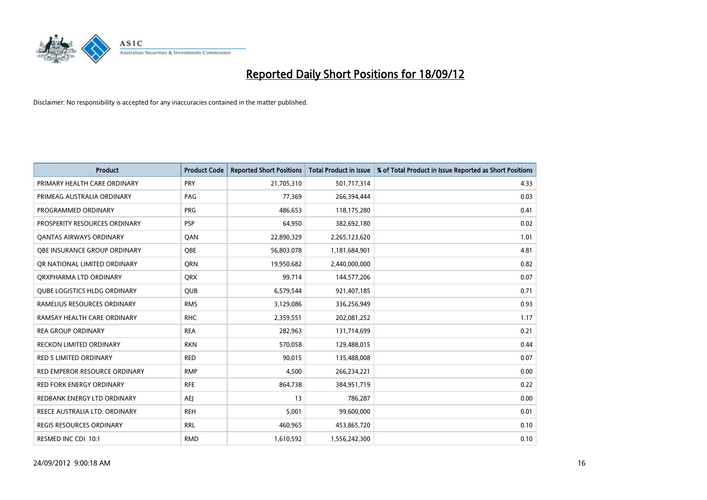

| <b>Product</b>                      | <b>Product Code</b> | <b>Reported Short Positions</b> | <b>Total Product in Issue</b> | % of Total Product in Issue Reported as Short Positions |
|-------------------------------------|---------------------|---------------------------------|-------------------------------|---------------------------------------------------------|
| PRIMARY HEALTH CARE ORDINARY        | PRY                 | 21,705,310                      | 501,717,314                   | 4.33                                                    |
| PRIMEAG AUSTRALIA ORDINARY          | PAG                 | 77,369                          | 266,394,444                   | 0.03                                                    |
| PROGRAMMED ORDINARY                 | <b>PRG</b>          | 486,653                         | 118,175,280                   | 0.41                                                    |
| PROSPERITY RESOURCES ORDINARY       | <b>PSP</b>          | 64,950                          | 382,692,180                   | 0.02                                                    |
| OANTAS AIRWAYS ORDINARY             | QAN                 | 22,890,329                      | 2,265,123,620                 | 1.01                                                    |
| OBE INSURANCE GROUP ORDINARY        | <b>OBE</b>          | 56,803,078                      | 1,181,684,901                 | 4.81                                                    |
| OR NATIONAL LIMITED ORDINARY        | <b>ORN</b>          | 19,950,682                      | 2,440,000,000                 | 0.82                                                    |
| ORXPHARMA LTD ORDINARY              | <b>ORX</b>          | 99,714                          | 144,577,206                   | 0.07                                                    |
| <b>QUBE LOGISTICS HLDG ORDINARY</b> | <b>QUB</b>          | 6,579,544                       | 921,407,185                   | 0.71                                                    |
| RAMELIUS RESOURCES ORDINARY         | <b>RMS</b>          | 3,129,086                       | 336,256,949                   | 0.93                                                    |
| RAMSAY HEALTH CARE ORDINARY         | <b>RHC</b>          | 2,359,551                       | 202,081,252                   | 1.17                                                    |
| <b>REA GROUP ORDINARY</b>           | <b>REA</b>          | 282,963                         | 131,714,699                   | 0.21                                                    |
| RECKON LIMITED ORDINARY             | <b>RKN</b>          | 570,058                         | 129,488,015                   | 0.44                                                    |
| <b>RED 5 LIMITED ORDINARY</b>       | <b>RED</b>          | 90,015                          | 135,488,008                   | 0.07                                                    |
| RED EMPEROR RESOURCE ORDINARY       | <b>RMP</b>          | 4,500                           | 266,234,221                   | 0.00                                                    |
| RED FORK ENERGY ORDINARY            | <b>RFE</b>          | 864,738                         | 384,951,719                   | 0.22                                                    |
| REDBANK ENERGY LTD ORDINARY         | <b>AEI</b>          | 13                              | 786,287                       | 0.00                                                    |
| REECE AUSTRALIA LTD. ORDINARY       | <b>REH</b>          | 5,001                           | 99,600,000                    | 0.01                                                    |
| <b>REGIS RESOURCES ORDINARY</b>     | <b>RRL</b>          | 460,965                         | 453,865,720                   | 0.10                                                    |
| RESMED INC CDI 10:1                 | <b>RMD</b>          | 1,610,592                       | 1,556,242,300                 | 0.10                                                    |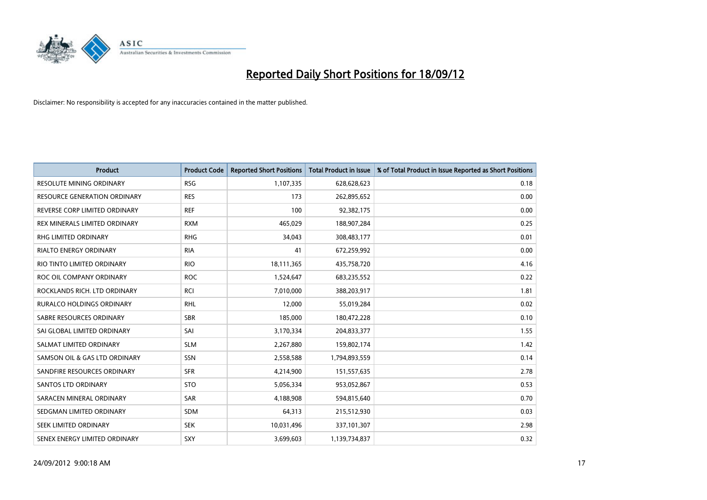

| <b>Product</b>                      | <b>Product Code</b> | <b>Reported Short Positions</b> | <b>Total Product in Issue</b> | % of Total Product in Issue Reported as Short Positions |
|-------------------------------------|---------------------|---------------------------------|-------------------------------|---------------------------------------------------------|
| <b>RESOLUTE MINING ORDINARY</b>     | <b>RSG</b>          | 1,107,335                       | 628,628,623                   | 0.18                                                    |
| <b>RESOURCE GENERATION ORDINARY</b> | <b>RES</b>          | 173                             | 262,895,652                   | 0.00                                                    |
| REVERSE CORP LIMITED ORDINARY       | <b>REF</b>          | 100                             | 92,382,175                    | 0.00                                                    |
| REX MINERALS LIMITED ORDINARY       | <b>RXM</b>          | 465,029                         | 188,907,284                   | 0.25                                                    |
| <b>RHG LIMITED ORDINARY</b>         | <b>RHG</b>          | 34,043                          | 308,483,177                   | 0.01                                                    |
| <b>RIALTO ENERGY ORDINARY</b>       | <b>RIA</b>          | 41                              | 672,259,992                   | 0.00                                                    |
| RIO TINTO LIMITED ORDINARY          | <b>RIO</b>          | 18,111,365                      | 435,758,720                   | 4.16                                                    |
| ROC OIL COMPANY ORDINARY            | <b>ROC</b>          | 1,524,647                       | 683,235,552                   | 0.22                                                    |
| ROCKLANDS RICH. LTD ORDINARY        | <b>RCI</b>          | 7,010,000                       | 388,203,917                   | 1.81                                                    |
| <b>RURALCO HOLDINGS ORDINARY</b>    | <b>RHL</b>          | 12,000                          | 55,019,284                    | 0.02                                                    |
| SABRE RESOURCES ORDINARY            | <b>SBR</b>          | 185,000                         | 180,472,228                   | 0.10                                                    |
| SAI GLOBAL LIMITED ORDINARY         | SAI                 | 3,170,334                       | 204,833,377                   | 1.55                                                    |
| SALMAT LIMITED ORDINARY             | <b>SLM</b>          | 2,267,880                       | 159,802,174                   | 1.42                                                    |
| SAMSON OIL & GAS LTD ORDINARY       | SSN                 | 2,558,588                       | 1,794,893,559                 | 0.14                                                    |
| SANDFIRE RESOURCES ORDINARY         | <b>SFR</b>          | 4,214,900                       | 151,557,635                   | 2.78                                                    |
| <b>SANTOS LTD ORDINARY</b>          | <b>STO</b>          | 5,056,334                       | 953,052,867                   | 0.53                                                    |
| SARACEN MINERAL ORDINARY            | SAR                 | 4,188,908                       | 594,815,640                   | 0.70                                                    |
| SEDGMAN LIMITED ORDINARY            | <b>SDM</b>          | 64,313                          | 215,512,930                   | 0.03                                                    |
| SEEK LIMITED ORDINARY               | <b>SEK</b>          | 10,031,496                      | 337,101,307                   | 2.98                                                    |
| SENEX ENERGY LIMITED ORDINARY       | SXY                 | 3,699,603                       | 1,139,734,837                 | 0.32                                                    |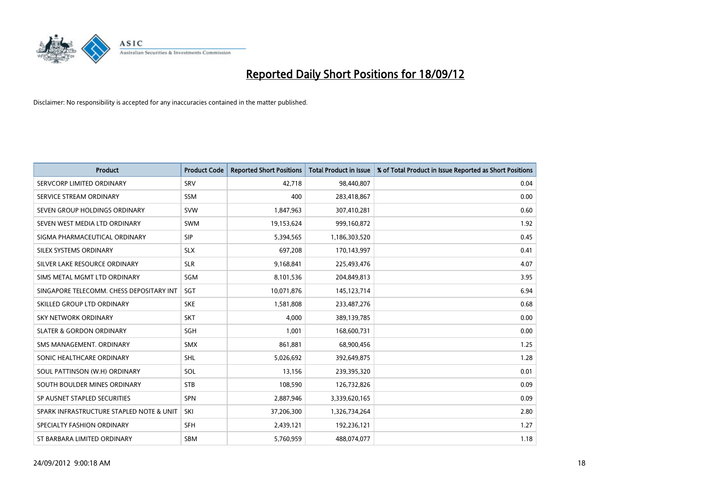

| <b>Product</b>                           | <b>Product Code</b> | <b>Reported Short Positions</b> | <b>Total Product in Issue</b> | % of Total Product in Issue Reported as Short Positions |
|------------------------------------------|---------------------|---------------------------------|-------------------------------|---------------------------------------------------------|
| SERVCORP LIMITED ORDINARY                | SRV                 | 42.718                          | 98,440,807                    | 0.04                                                    |
| SERVICE STREAM ORDINARY                  | <b>SSM</b>          | 400                             | 283,418,867                   | 0.00                                                    |
| SEVEN GROUP HOLDINGS ORDINARY            | <b>SVW</b>          | 1,847,963                       | 307,410,281                   | 0.60                                                    |
| SEVEN WEST MEDIA LTD ORDINARY            | <b>SWM</b>          | 19,153,624                      | 999,160,872                   | 1.92                                                    |
| SIGMA PHARMACEUTICAL ORDINARY            | <b>SIP</b>          | 5,394,565                       | 1,186,303,520                 | 0.45                                                    |
| SILEX SYSTEMS ORDINARY                   | <b>SLX</b>          | 697,208                         | 170,143,997                   | 0.41                                                    |
| SILVER LAKE RESOURCE ORDINARY            | <b>SLR</b>          | 9,168,841                       | 225,493,476                   | 4.07                                                    |
| SIMS METAL MGMT LTD ORDINARY             | SGM                 | 8,101,536                       | 204,849,813                   | 3.95                                                    |
| SINGAPORE TELECOMM. CHESS DEPOSITARY INT | SGT                 | 10,071,876                      | 145, 123, 714                 | 6.94                                                    |
| SKILLED GROUP LTD ORDINARY               | <b>SKE</b>          | 1,581,808                       | 233,487,276                   | 0.68                                                    |
| <b>SKY NETWORK ORDINARY</b>              | <b>SKT</b>          | 4,000                           | 389,139,785                   | 0.00                                                    |
| <b>SLATER &amp; GORDON ORDINARY</b>      | SGH                 | 1,001                           | 168,600,731                   | 0.00                                                    |
| SMS MANAGEMENT, ORDINARY                 | <b>SMX</b>          | 861,881                         | 68,900,456                    | 1.25                                                    |
| SONIC HEALTHCARE ORDINARY                | <b>SHL</b>          | 5,026,692                       | 392,649,875                   | 1.28                                                    |
| SOUL PATTINSON (W.H) ORDINARY            | SOL                 | 13,156                          | 239,395,320                   | 0.01                                                    |
| SOUTH BOULDER MINES ORDINARY             | <b>STB</b>          | 108,590                         | 126,732,826                   | 0.09                                                    |
| SP AUSNET STAPLED SECURITIES             | SPN                 | 2,887,946                       | 3,339,620,165                 | 0.09                                                    |
| SPARK INFRASTRUCTURE STAPLED NOTE & UNIT | SKI                 | 37,206,300                      | 1,326,734,264                 | 2.80                                                    |
| SPECIALTY FASHION ORDINARY               | <b>SFH</b>          | 2,439,121                       | 192,236,121                   | 1.27                                                    |
| ST BARBARA LIMITED ORDINARY              | <b>SBM</b>          | 5,760,959                       | 488,074,077                   | 1.18                                                    |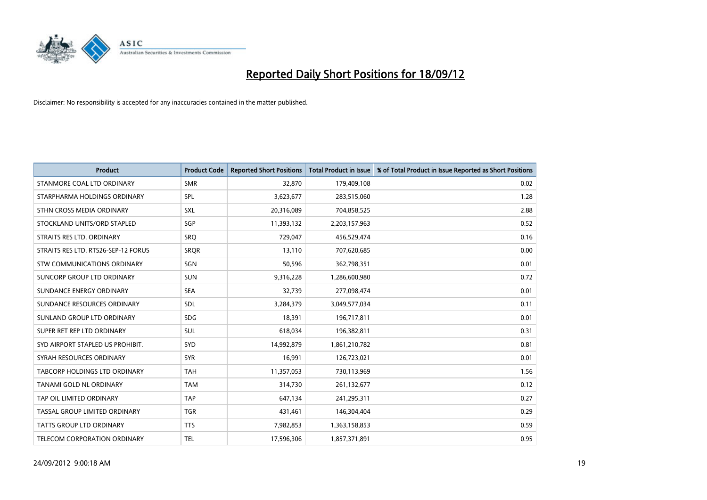

| <b>Product</b>                       | <b>Product Code</b> | <b>Reported Short Positions</b> | <b>Total Product in Issue</b> | % of Total Product in Issue Reported as Short Positions |
|--------------------------------------|---------------------|---------------------------------|-------------------------------|---------------------------------------------------------|
| STANMORE COAL LTD ORDINARY           | <b>SMR</b>          | 32,870                          | 179,409,108                   | 0.02                                                    |
| STARPHARMA HOLDINGS ORDINARY         | SPL                 | 3,623,677                       | 283,515,060                   | 1.28                                                    |
| STHN CROSS MEDIA ORDINARY            | <b>SXL</b>          | 20,316,089                      | 704,858,525                   | 2.88                                                    |
| STOCKLAND UNITS/ORD STAPLED          | SGP                 | 11,393,132                      | 2,203,157,963                 | 0.52                                                    |
| STRAITS RES LTD. ORDINARY            | SRO                 | 729,047                         | 456,529,474                   | 0.16                                                    |
| STRAITS RES LTD. RTS26-SEP-12 FORUS  | <b>SROR</b>         | 13,110                          | 707,620,685                   | 0.00                                                    |
| STW COMMUNICATIONS ORDINARY          | SGN                 | 50,596                          | 362,798,351                   | 0.01                                                    |
| SUNCORP GROUP LTD ORDINARY           | <b>SUN</b>          | 9,316,228                       | 1,286,600,980                 | 0.72                                                    |
| SUNDANCE ENERGY ORDINARY             | <b>SEA</b>          | 32,739                          | 277,098,474                   | 0.01                                                    |
| SUNDANCE RESOURCES ORDINARY          | <b>SDL</b>          | 3,284,379                       | 3,049,577,034                 | 0.11                                                    |
| SUNLAND GROUP LTD ORDINARY           | <b>SDG</b>          | 18,391                          | 196,717,811                   | 0.01                                                    |
| SUPER RET REP LTD ORDINARY           | <b>SUL</b>          | 618,034                         | 196,382,811                   | 0.31                                                    |
| SYD AIRPORT STAPLED US PROHIBIT.     | <b>SYD</b>          | 14,992,879                      | 1,861,210,782                 | 0.81                                                    |
| SYRAH RESOURCES ORDINARY             | <b>SYR</b>          | 16,991                          | 126,723,021                   | 0.01                                                    |
| <b>TABCORP HOLDINGS LTD ORDINARY</b> | <b>TAH</b>          | 11,357,053                      | 730,113,969                   | 1.56                                                    |
| TANAMI GOLD NL ORDINARY              | <b>TAM</b>          | 314,730                         | 261,132,677                   | 0.12                                                    |
| TAP OIL LIMITED ORDINARY             | TAP                 | 647,134                         | 241,295,311                   | 0.27                                                    |
| TASSAL GROUP LIMITED ORDINARY        | <b>TGR</b>          | 431,461                         | 146,304,404                   | 0.29                                                    |
| <b>TATTS GROUP LTD ORDINARY</b>      | <b>TTS</b>          | 7,982,853                       | 1,363,158,853                 | 0.59                                                    |
| TELECOM CORPORATION ORDINARY         | <b>TEL</b>          | 17,596,306                      | 1,857,371,891                 | 0.95                                                    |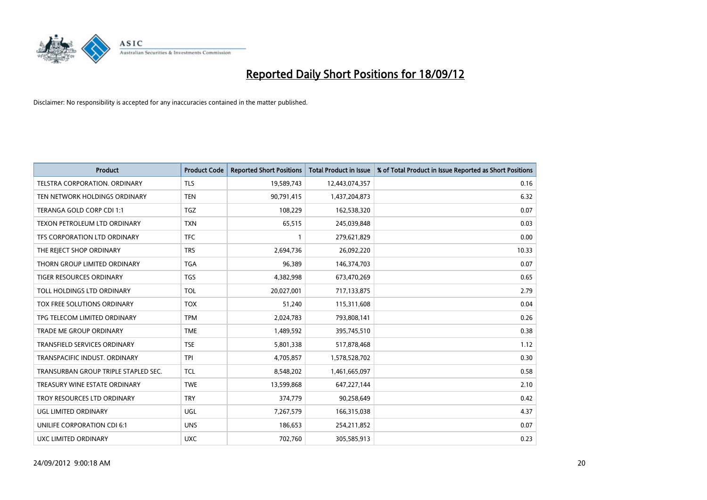

| <b>Product</b>                       | <b>Product Code</b> | <b>Reported Short Positions</b> | <b>Total Product in Issue</b> | % of Total Product in Issue Reported as Short Positions |
|--------------------------------------|---------------------|---------------------------------|-------------------------------|---------------------------------------------------------|
| <b>TELSTRA CORPORATION, ORDINARY</b> | <b>TLS</b>          | 19,589,743                      | 12,443,074,357                | 0.16                                                    |
| TEN NETWORK HOLDINGS ORDINARY        | <b>TEN</b>          | 90,791,415                      | 1,437,204,873                 | 6.32                                                    |
| TERANGA GOLD CORP CDI 1:1            | <b>TGZ</b>          | 108,229                         | 162,538,320                   | 0.07                                                    |
| TEXON PETROLEUM LTD ORDINARY         | <b>TXN</b>          | 65,515                          | 245,039,848                   | 0.03                                                    |
| TFS CORPORATION LTD ORDINARY         | <b>TFC</b>          |                                 | 279,621,829                   | 0.00                                                    |
| THE REJECT SHOP ORDINARY             | <b>TRS</b>          | 2,694,736                       | 26,092,220                    | 10.33                                                   |
| THORN GROUP LIMITED ORDINARY         | <b>TGA</b>          | 96,389                          | 146,374,703                   | 0.07                                                    |
| TIGER RESOURCES ORDINARY             | <b>TGS</b>          | 4,382,998                       | 673,470,269                   | 0.65                                                    |
| TOLL HOLDINGS LTD ORDINARY           | <b>TOL</b>          | 20,027,001                      | 717,133,875                   | 2.79                                                    |
| TOX FREE SOLUTIONS ORDINARY          | <b>TOX</b>          | 51,240                          | 115,311,608                   | 0.04                                                    |
| TPG TELECOM LIMITED ORDINARY         | <b>TPM</b>          | 2,024,783                       | 793,808,141                   | 0.26                                                    |
| TRADE ME GROUP ORDINARY              | <b>TME</b>          | 1,489,592                       | 395,745,510                   | 0.38                                                    |
| TRANSFIELD SERVICES ORDINARY         | <b>TSE</b>          | 5,801,338                       | 517,878,468                   | 1.12                                                    |
| TRANSPACIFIC INDUST, ORDINARY        | <b>TPI</b>          | 4,705,857                       | 1,578,528,702                 | 0.30                                                    |
| TRANSURBAN GROUP TRIPLE STAPLED SEC. | <b>TCL</b>          | 8,548,202                       | 1,461,665,097                 | 0.58                                                    |
| TREASURY WINE ESTATE ORDINARY        | <b>TWE</b>          | 13,599,868                      | 647,227,144                   | 2.10                                                    |
| TROY RESOURCES LTD ORDINARY          | <b>TRY</b>          | 374,779                         | 90,258,649                    | 0.42                                                    |
| UGL LIMITED ORDINARY                 | UGL                 | 7,267,579                       | 166,315,038                   | 4.37                                                    |
| UNILIFE CORPORATION CDI 6:1          | <b>UNS</b>          | 186,653                         | 254,211,852                   | 0.07                                                    |
| <b>UXC LIMITED ORDINARY</b>          | <b>UXC</b>          | 702,760                         | 305,585,913                   | 0.23                                                    |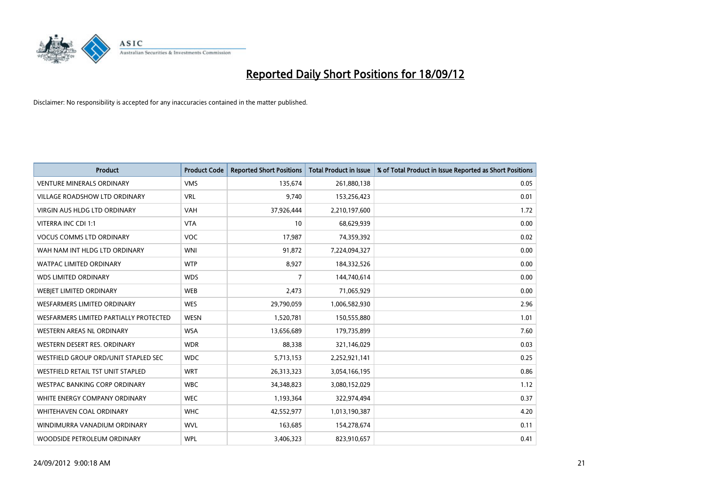

| <b>Product</b>                           | <b>Product Code</b> | <b>Reported Short Positions</b> | <b>Total Product in Issue</b> | % of Total Product in Issue Reported as Short Positions |
|------------------------------------------|---------------------|---------------------------------|-------------------------------|---------------------------------------------------------|
| <b>VENTURE MINERALS ORDINARY</b>         | <b>VMS</b>          | 135,674                         | 261,880,138                   | 0.05                                                    |
| VILLAGE ROADSHOW LTD ORDINARY            | <b>VRL</b>          | 9,740                           | 153,256,423                   | 0.01                                                    |
| <b>VIRGIN AUS HLDG LTD ORDINARY</b>      | <b>VAH</b>          | 37,926,444                      | 2,210,197,600                 | 1.72                                                    |
| VITERRA INC CDI 1:1                      | <b>VTA</b>          | 10                              | 68,629,939                    | 0.00                                                    |
| <b>VOCUS COMMS LTD ORDINARY</b>          | <b>VOC</b>          | 17,987                          | 74,359,392                    | 0.02                                                    |
| WAH NAM INT HLDG LTD ORDINARY            | <b>WNI</b>          | 91,872                          | 7,224,094,327                 | 0.00                                                    |
| <b>WATPAC LIMITED ORDINARY</b>           | <b>WTP</b>          | 8,927                           | 184,332,526                   | 0.00                                                    |
| <b>WDS LIMITED ORDINARY</b>              | <b>WDS</b>          | 7                               | 144,740,614                   | 0.00                                                    |
| WEBIET LIMITED ORDINARY                  | <b>WEB</b>          | 2,473                           | 71,065,929                    | 0.00                                                    |
| <b>WESFARMERS LIMITED ORDINARY</b>       | <b>WES</b>          | 29,790,059                      | 1,006,582,930                 | 2.96                                                    |
| WESFARMERS LIMITED PARTIALLY PROTECTED   | <b>WESN</b>         | 1,520,781                       | 150,555,880                   | 1.01                                                    |
| WESTERN AREAS NL ORDINARY                | <b>WSA</b>          | 13,656,689                      | 179,735,899                   | 7.60                                                    |
| WESTERN DESERT RES. ORDINARY             | <b>WDR</b>          | 88,338                          | 321,146,029                   | 0.03                                                    |
| WESTFIELD GROUP ORD/UNIT STAPLED SEC     | <b>WDC</b>          | 5,713,153                       | 2,252,921,141                 | 0.25                                                    |
| <b>WESTFIELD RETAIL TST UNIT STAPLED</b> | <b>WRT</b>          | 26,313,323                      | 3,054,166,195                 | 0.86                                                    |
| WESTPAC BANKING CORP ORDINARY            | <b>WBC</b>          | 34,348,823                      | 3,080,152,029                 | 1.12                                                    |
| WHITE ENERGY COMPANY ORDINARY            | <b>WEC</b>          | 1,193,364                       | 322,974,494                   | 0.37                                                    |
| <b>WHITEHAVEN COAL ORDINARY</b>          | <b>WHC</b>          | 42,552,977                      | 1,013,190,387                 | 4.20                                                    |
| WINDIMURRA VANADIUM ORDINARY             | <b>WVL</b>          | 163,685                         | 154,278,674                   | 0.11                                                    |
| WOODSIDE PETROLEUM ORDINARY              | <b>WPL</b>          | 3,406,323                       | 823,910,657                   | 0.41                                                    |